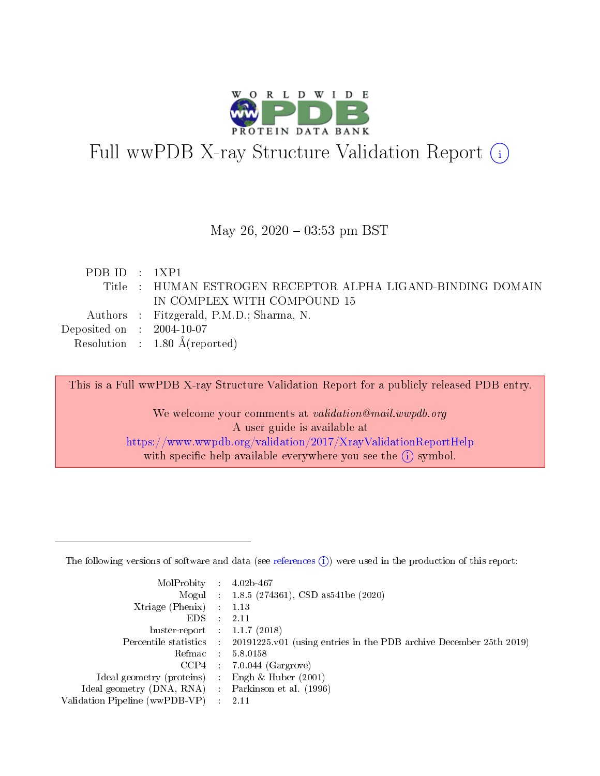

# Full wwPDB X-ray Structure Validation Report (i)

#### May 26,  $2020 - 03:53$  pm BST

| PDBID : 1XP1                         |                                                             |
|--------------------------------------|-------------------------------------------------------------|
|                                      | Title : HUMAN ESTROGEN RECEPTOR ALPHA LIGAND-BINDING DOMAIN |
|                                      | IN COMPLEX WITH COMPOUND 15                                 |
|                                      | Authors : Fitzgerald, P.M.D.; Sharma, N.                    |
| Deposited on $\therefore$ 2004-10-07 |                                                             |
|                                      | Resolution : $1.80 \text{ Å}$ (reported)                    |

This is a Full wwPDB X-ray Structure Validation Report for a publicly released PDB entry.

We welcome your comments at validation@mail.wwpdb.org A user guide is available at <https://www.wwpdb.org/validation/2017/XrayValidationReportHelp> with specific help available everywhere you see the  $(i)$  symbol.

The following versions of software and data (see [references](https://www.wwpdb.org/validation/2017/XrayValidationReportHelp#references)  $(1)$ ) were used in the production of this report:

| MolProbity                     | $\mathcal{L}_{\rm{max}}$ | $4.02b - 467$                                                                |
|--------------------------------|--------------------------|------------------------------------------------------------------------------|
|                                |                          | Mogul : $1.8.5$ (274361), CSD as 541be (2020)                                |
| $X$ triage (Phenix) :          |                          | 1.13                                                                         |
| EDS.                           |                          | 2.11                                                                         |
| buster-report : $1.1.7$ (2018) |                          |                                                                              |
| Percentile statistics :        |                          | $20191225 \text{ v}01$ (using entries in the PDB archive December 25th 2019) |
| Refmac                         |                          | 5.8.0158                                                                     |
| $CCP4$ :                       |                          | $7.0.044$ (Gargrove)                                                         |
| Ideal geometry (proteins) :    |                          | Engh $\&$ Huber (2001)                                                       |
| Ideal geometry (DNA, RNA) :    |                          | Parkinson et al. (1996)                                                      |
| Validation Pipeline (wwPDB-VP) | $\mathcal{L}$            | -2.11                                                                        |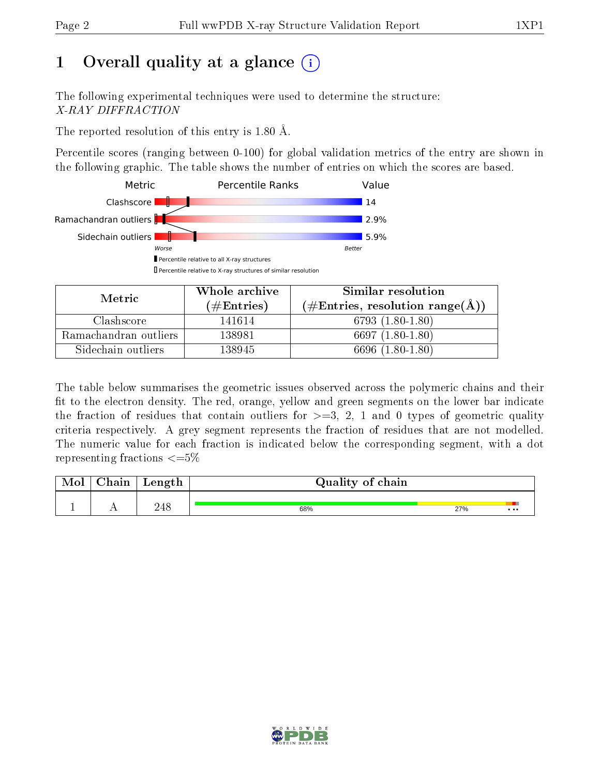# 1 [O](https://www.wwpdb.org/validation/2017/XrayValidationReportHelp#overall_quality)verall quality at a glance  $(i)$

The following experimental techniques were used to determine the structure: X-RAY DIFFRACTION

The reported resolution of this entry is 1.80 Å.

Percentile scores (ranging between 0-100) for global validation metrics of the entry are shown in the following graphic. The table shows the number of entries on which the scores are based.



| Metric                | Whole archive<br>$(\#\text{Entries})$ | Similar resolution<br>$(\#\text{Entries}, \text{resolution range}(\text{\AA}) )$ |
|-----------------------|---------------------------------------|----------------------------------------------------------------------------------|
| Clashscore            | 141614                                | $6793(1.80-1.80)$                                                                |
| Ramachandran outliers | 138981                                | 6697 $(1.80-1.80)$                                                               |
| Sidechain outliers    | 138945                                | 6696 (1.80-1.80)                                                                 |

The table below summarises the geometric issues observed across the polymeric chains and their fit to the electron density. The red, orange, yellow and green segments on the lower bar indicate the fraction of residues that contain outliers for  $\geq=3$ , 2, 1 and 0 types of geometric quality criteria respectively. A grey segment represents the fraction of residues that are not modelled. The numeric value for each fraction is indicated below the corresponding segment, with a dot representing fractions  $\leq=5\%$ 

| Mol | Chain | Length | Quality of chain |     |          |  |  |
|-----|-------|--------|------------------|-----|----------|--|--|
|     |       | 248    | 68%              | 27% | $\cdots$ |  |  |

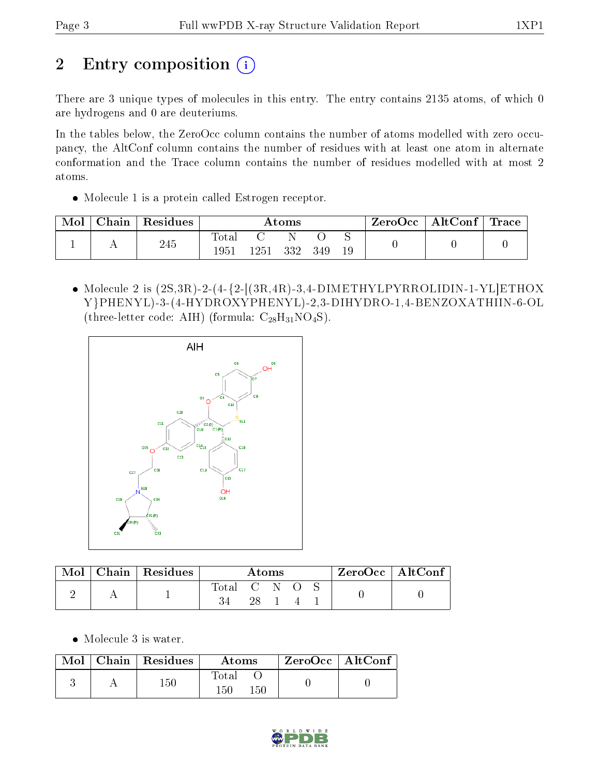# 2 Entry composition (i)

There are 3 unique types of molecules in this entry. The entry contains 2135 atoms, of which 0 are hydrogens and 0 are deuteriums.

In the tables below, the ZeroOcc column contains the number of atoms modelled with zero occupancy, the AltConf column contains the number of residues with at least one atom in alternate conformation and the Trace column contains the number of residues modelled with at most 2 atoms.

• Molecule 1 is a protein called Estrogen receptor.

| Mol | Chain | Residues | $\rm{Atoms}$            |          |  | $\mid$ ZeroOcc $\mid$ AltConf $\mid$ Trace |  |  |  |
|-----|-------|----------|-------------------------|----------|--|--------------------------------------------|--|--|--|
|     |       | 245      | $_{\rm{Total}}$<br>1951 | 1251 332 |  | - 349                                      |  |  |  |

• Molecule 2 is  $(2S,3R)$ -2- $(4-\{2-\frac{1}{3R},4R\}-3,4-\text{DIMETHYLPYRROLIDIN-1-YL]ETHOX}$ Y}PHENYL)-3-(4-HYDROXYPHENYL)-2,3-DIHYDRO-1,4-BENZOXATHIIN-6-OL (three-letter code: AIH) (formula:  $C_{28}H_{31}NO_4S$ ).



| Mol | Chain   Residues | Atoms |    |                | $ZeroOcc \   \ AltConf$ |  |
|-----|------------------|-------|----|----------------|-------------------------|--|
|     |                  | Total |    | $\mathbb{C}$ N |                         |  |
|     |                  |       | 28 |                |                         |  |

• Molecule 3 is water.

|  | $Mol$   Chain   Residues | Atoms                         | ZeroOcc   AltConf |  |
|--|--------------------------|-------------------------------|-------------------|--|
|  | 150                      | $\rm Total$<br>$150\,$<br>150 |                   |  |

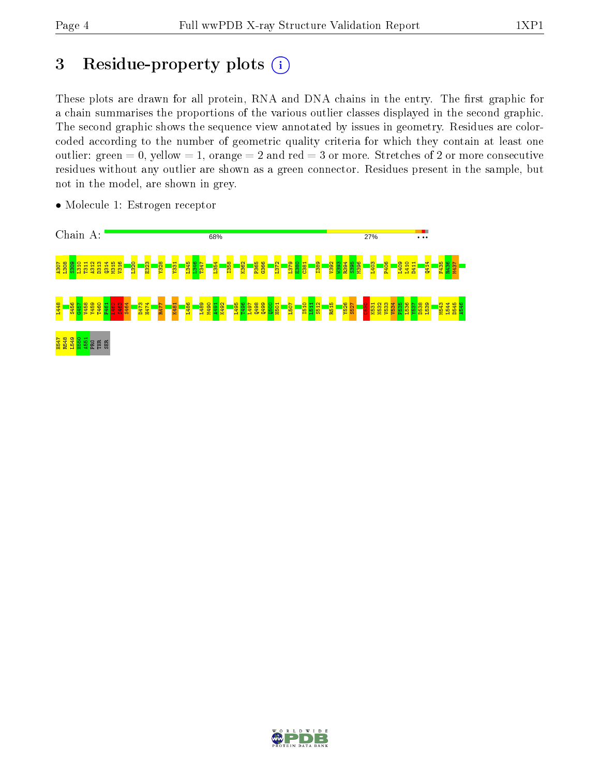## 3 Residue-property plots  $(i)$

These plots are drawn for all protein, RNA and DNA chains in the entry. The first graphic for a chain summarises the proportions of the various outlier classes displayed in the second graphic. The second graphic shows the sequence view annotated by issues in geometry. Residues are colorcoded according to the number of geometric quality criteria for which they contain at least one outlier: green  $= 0$ , yellow  $= 1$ , orange  $= 2$  and red  $= 3$  or more. Stretches of 2 or more consecutive residues without any outlier are shown as a green connector. Residues present in the sample, but not in the model, are shown in grey.



• Molecule 1: Estrogen receptor

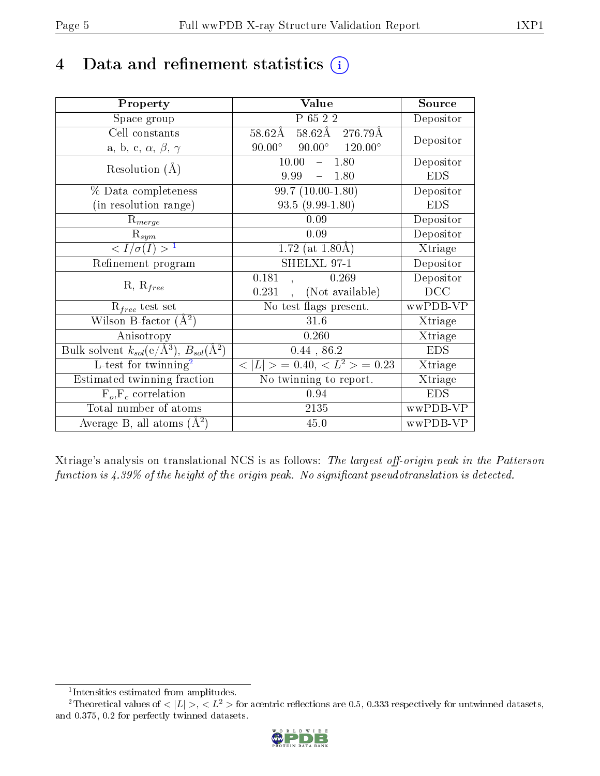## 4 Data and refinement statistics  $(i)$

| Property                                                              | Value                                             | Source     |
|-----------------------------------------------------------------------|---------------------------------------------------|------------|
| Space group                                                           | P 65 2 2                                          | Depositor  |
| Cell constants                                                        | 58.62Å 276.79Å<br>58.62Å                          | Depositor  |
| a, b, c, $\alpha$ , $\beta$ , $\gamma$                                | $90.00^{\circ}$ $120.00^{\circ}$<br>$90.00^\circ$ |            |
| Resolution $(A)$                                                      | 10.00<br>1.80                                     | Depositor  |
|                                                                       | 9.99<br>1.80<br>$\equiv$ .                        | <b>EDS</b> |
| % Data completeness                                                   | $99.7(10.00-1.80)$                                | Depositor  |
| (in resolution range)                                                 | $93.5(9.99-1.80)$                                 | <b>EDS</b> |
| $R_{merge}$                                                           | 0.09                                              | Depositor  |
| $\mathrm{R}_{sym}$                                                    | 0.09                                              | Depositor  |
| $\langle I/\sigma(I) \rangle^{-1}$                                    | 1.72 (at $1.80\text{\AA}$ )                       | Xtriage    |
| Refinement program                                                    | SHELXL 97-1                                       | Depositor  |
| $R, R_{free}$                                                         | 0.181<br>0.269                                    | Depositor  |
|                                                                       | (Not available)<br>0.231                          | DCC        |
| $R_{free}$ test set                                                   | No test flags present.                            | wwPDB-VP   |
| Wilson B-factor $(A^2)$                                               | 31.6                                              | Xtriage    |
| Anisotropy                                                            | 0.260                                             | Xtriage    |
| Bulk solvent $k_{sol}(\text{e}/\text{\AA}^3),\,B_{sol}(\text{\AA}^2)$ | 0.44, 86.2                                        | <b>EDS</b> |
| $L$ -test for twinning <sup>2</sup>                                   | $< L >$ = 0.40, $< L2 >$ = 0.23                   | Xtriage    |
| Estimated twinning fraction                                           | No twinning to report.                            | Xtriage    |
| $F_o, F_c$ correlation                                                | 0.94                                              | <b>EDS</b> |
| Total number of atoms                                                 | 2135                                              | wwPDB-VP   |
| Average B, all atoms $(A^2)$                                          | 45.0                                              | wwPDB-VP   |

Xtriage's analysis on translational NCS is as follows: The largest off-origin peak in the Patterson function is  $4.39\%$  of the height of the origin peak. No significant pseudotranslation is detected.

<sup>&</sup>lt;sup>2</sup>Theoretical values of  $\langle |L| \rangle$ ,  $\langle L^2 \rangle$  for acentric reflections are 0.5, 0.333 respectively for untwinned datasets, and 0.375, 0.2 for perfectly twinned datasets.



<span id="page-4-1"></span><span id="page-4-0"></span><sup>1</sup> Intensities estimated from amplitudes.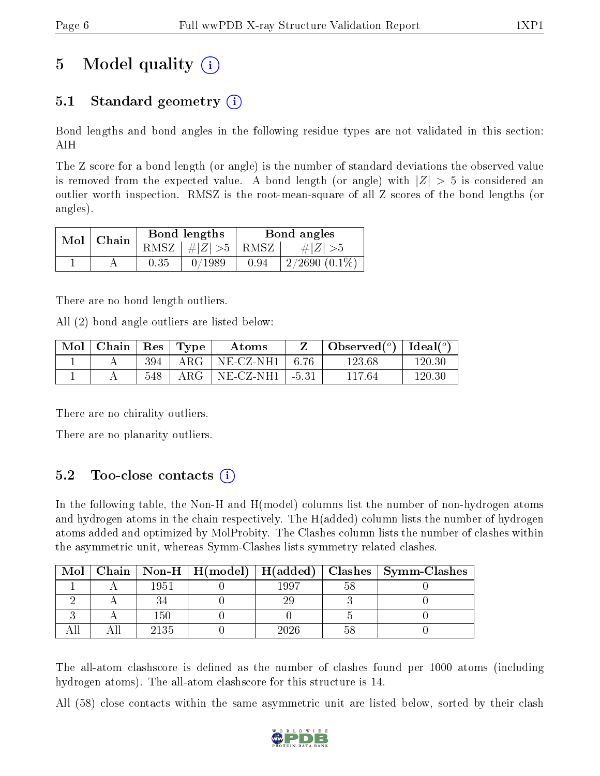# 5 Model quality  $(i)$

### 5.1 Standard geometry  $(i)$

Bond lengths and bond angles in the following residue types are not validated in this section: AIH

The Z score for a bond length (or angle) is the number of standard deviations the observed value is removed from the expected value. A bond length (or angle) with  $|Z| > 5$  is considered an outlier worth inspection. RMSZ is the root-mean-square of all Z scores of the bond lengths (or angles).

| $Mol \mid$ | $\perp$ Chain |      | Bond lengths                     | Bond angles |                 |  |
|------------|---------------|------|----------------------------------|-------------|-----------------|--|
|            |               |      | RMSZ $\mid \#  Z  > 5 \mid$ RMSZ |             | $\# Z  > 5$     |  |
|            |               | 0.35 | 0/1989                           | 0.94        | $2/2690(0.1\%)$ |  |

There are no bond length outliers.

All (2) bond angle outliers are listed below:

| Mol | $\mid$ Chain $\mid$ Res $\mid$ Type |     |               | Atoms                    |         | Observed $(°)$ | Ideal $(^\circ)$ |
|-----|-------------------------------------|-----|---------------|--------------------------|---------|----------------|------------------|
|     |                                     | 394 | ${\rm ARG}^-$ | $NE-{\rm CZ\text{-}NH1}$ | - 6.76  | 123.68         | 120.30           |
|     |                                     | 548 | ${\rm ARG}^-$ | $NE- CZ-NH1$             | $-5.31$ | 117.64         | 120.30           |

There are no chirality outliers.

There are no planarity outliers.

### 5.2 Too-close contacts  $(i)$

In the following table, the Non-H and H(model) columns list the number of non-hydrogen atoms and hydrogen atoms in the chain respectively. The H(added) column lists the number of hydrogen atoms added and optimized by MolProbity. The Clashes column lists the number of clashes within the asymmetric unit, whereas Symm-Clashes lists symmetry related clashes.

| Mol |      |      | Chain   Non-H   H(model)   H(added)   Clashes   Symm-Clashes |
|-----|------|------|--------------------------------------------------------------|
|     | 1951 | 1997 |                                                              |
|     |      |      |                                                              |
|     | 150  |      |                                                              |
|     | 2135 | 2026 |                                                              |

The all-atom clashscore is defined as the number of clashes found per 1000 atoms (including hydrogen atoms). The all-atom clashscore for this structure is 14.

All (58) close contacts within the same asymmetric unit are listed below, sorted by their clash

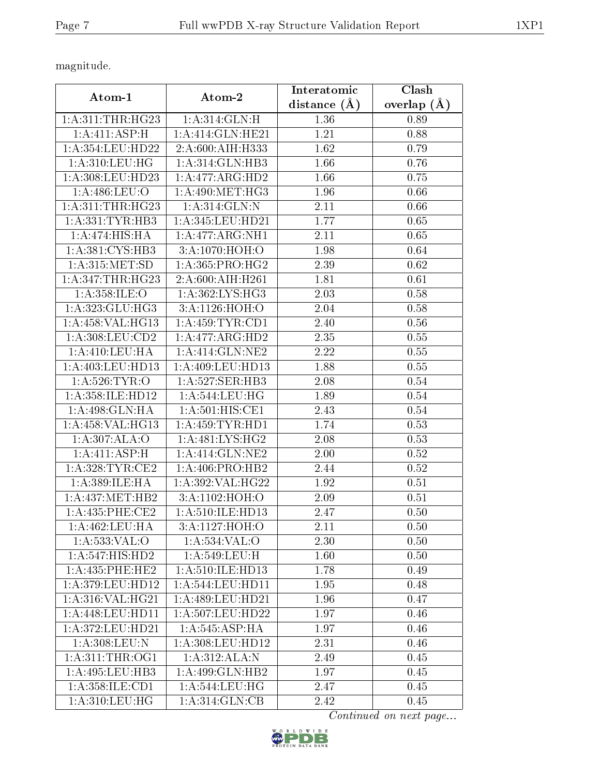magnitude.

| Atom-1               | Atom-2                      | Interatomic    | Clash         |  |
|----------------------|-----------------------------|----------------|---------------|--|
|                      |                             | distance $(A)$ | overlap $(A)$ |  |
| 1: A:311:THR:HG23    | 1: A:314: GLN: H            | 1.36           | 0.89          |  |
| 1: A: 411: ASP:H     | 1: A:414: GLN: HE21         | 1.21           | 0.88          |  |
| 1: A:354:LEU:HD22    | 2:A:600:AIH:H333            | 1.62           | 0.79          |  |
| 1:A:310:LEU:HG       | 1:A:314:GLN:HB3             | 1.66           | 0.76          |  |
| 1: A:308:LEU:HD23    | 1:A:477:ARG:HD2             | 1.66           | 0.75          |  |
| 1:A:486:LEU:O        | 1: A:490:MET:HG3            | 1.96           | 0.66          |  |
| 1: A:311:THR:HG23    | 1:A:314:GLN:N               | 2.11           | 0.66          |  |
| 1:A:331:TYR:HB3      | 1:A:345:LEU:HD21            | 1.77           | 0.65          |  |
| 1:A:474:HIS:HA       | 1:A:477:ARG:NH1             | 2.11           | 0.65          |  |
| 1: A:381: CYS:HB3    | $3:A:1070:\overline{HOH:O}$ | 1.98           | 0.64          |  |
| 1:A:315:MET:SD       | 1: A:365: PRO:HG2           | 2.39           | 0.62          |  |
| 1:A:347:THR:HG23     | 2:A:600:AIH:H261            | 1.81           | 0.61          |  |
| 1: A:358: ILE: O     | 1: A:362:LYS:HG3            | 2.03           | 0.58          |  |
| 1:A:323:GLU:HG3      | 3:A:1126:HOH:O              | 2.04           | 0.58          |  |
| 1: A: 458: VAL: HG13 | 1: A:459: TYR: CD1          | 2.40           | 0.56          |  |
| 1: A:308: LEU:CD2    | 1:A:477:ARG:HD2             | 2.35           | 0.55          |  |
| 1: A:410: LEU: HA    | 1: A:414: GLN: NE2          | 2.22           | 0.55          |  |
| 1: A:403: LEU: HD13  | 1:A:409:LEU:HD13            | 1.88           | 0.55          |  |
| 1: A:526: TYR:O      | 1:A:527:SER:HB3             | 2.08           | 0.54          |  |
| 1:A:358:ILE:HD12     | 1: A:544:LEU:HG             | 1.89           | 0.54          |  |
| 1:A:498:GLN:HA       | 1:A:501:HIS:CE1             | 2.43           | 0.54          |  |
| 1: A: 458: VAL: HG13 | 1: A: 459: TYR: HD1         | 1.74           | 0.53          |  |
| 1:A:307:ALA:O        | 1: A:481: LYS: HG2          | 2.08           | 0.53          |  |
| 1:A:411:ASP:H        | 1:A:414:GLN:NE2             | 2.00           | 0.52          |  |
| 1: A:328:TYR:CE2     | 1:A:406:PRO:HB2             | 2.44           | 0.52          |  |
| 1: A:389: ILE: HA    | 1:A:392:VAL:HG22            | 1.92           | 0.51          |  |
| 1: A: 437: MET: HB2  | 3:A:1102:HOH:O              | 2.09           | 0.51          |  |
| 1: A:435:PHE:CE2     | 1: A:510: ILE: HD13         | 2.47           | 0.50          |  |
| 1:A:462:LEU:HA       | 3:A:1127:HOH:O              | 2.11           | 0.50          |  |
| 1: A: 533: VAL: O    | 1:A:534:VAL:O               | 2.30           | 0.50          |  |
| 1:A:547:HIS:HD2      | 1:A:549:LEU:H               | 1.60           | 0.50          |  |
| 1: A: 435: PHE: HE2  | 1: A:510: ILE: HD13         | 1.78           | 0.49          |  |
| 1: A:379: LEU: HD12  | 1: A:544:LEU:HD11           | 1.95           | 0.48          |  |
| 1:A:316:VAL:HG21     | 1: A:489:LEU:HD21           | 1.96           | 0.47          |  |
| 1: A:448: LEU: HD11  | 1:A:507:LEU:HD22            | 1.97           | 0.46          |  |
| 1: A:372:LEU:HD21    | 1:A:545:ASP:HA              | 1.97           | 0.46          |  |
| 1:A:308:LEU:N        | 1: A:308:LEU:HD12           | 2.31           | 0.46          |  |
| 1: A:311:THR:OG1     | 1:A:312:ALA:N               | 2.49           | 0.45          |  |
| 1: A:495:LEU:HB3     | 1:A:499:GLN:HB2             | 1.97           | 0.45          |  |
| 1:A:358:ILE:CD1      | 1: A:544:LEU:HG             | 2.47           | 0.45          |  |
| 1:A:310:LEU:HG       | 1: A:314: GLN: CB           | 2.42           | 0.45          |  |

Continued on next page...

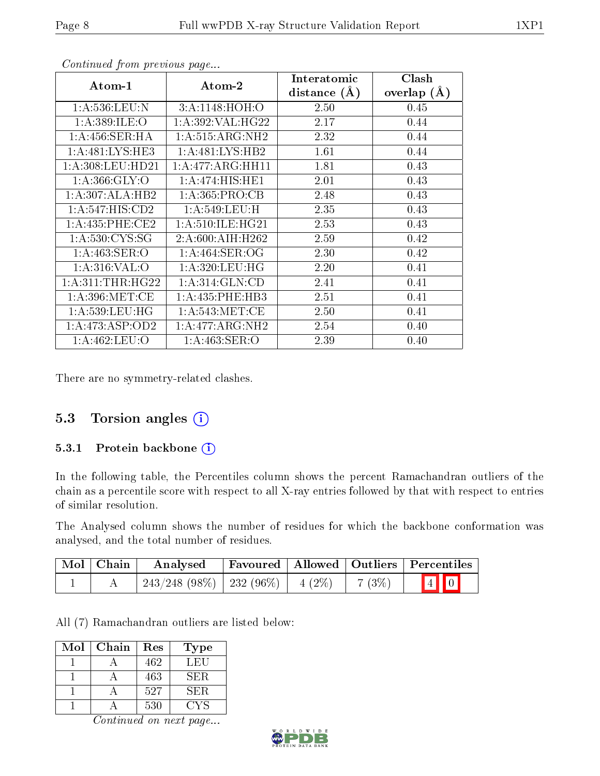| Atom-1                  | Atom-2              | Interatomic    | Clash         |
|-------------------------|---------------------|----------------|---------------|
|                         |                     | distance $(A)$ | overlap $(A)$ |
| 1:A:536:LEU:N           | 3:A:1148:HOH:O      | 2.50           | 0.45          |
| 1:A:389:ILE:O           | 1: A:392: VAL:HG22  | 2.17           | 0.44          |
| 1:A:456:SER:HA          | 1: A:515: ARG: NH2  | 2.32           | 0.44          |
| 1: A:481:LYS:HE3        | 1:A:481:LYS:HB2     | 1.61           | 0.44          |
| 1: A:308:LEU:HD21       | 1:A:477:ARG:HH11    | 1.81           | 0.43          |
| 1: A: 366: GLY: O       | 1:A:474:HIS:HE1     | 2.01           | 0.43          |
| 1:A:307:ALA:HB2         | 1:A:365:PRO:CB      | 2.48           | 0.43          |
| 1: A:547: HIS: CD2      | 1: A:549:LEU:H      | 2.35           | 0.43          |
| 1: A:435:PHE:CE2        | 1: A:510: ILE: HG21 | 2.53           | 0.43          |
| 1: A:530: CYS:SG        | 2:A:600:AIH:H262    | 2.59           | 0.42          |
| 1: A:463: SER:O         | 1: A:464: SER:OG    | 2.30           | 0.42          |
| 1: A:316: VAL:O         | 1: A:320: LEU: HG   | 2.20           | 0.41          |
| 1: A:311:THR:HG22       | 1: A:314: GLN:CD    | 2.41           | 0.41          |
| 1: A:396: MET:CE        | 1:A:435:PHE:HB3     | 2.51           | 0.41          |
| 1: A: 539: LEU: HG      | 1: A:543:MET:CE     | 2.50           | 0.41          |
| 1:A:473:ASP:OD2         | 1:A:477:ARG:NH2     | 2.54           | 0.40          |
| $1:$ A:46 $2:$ LEU: $O$ | 1: A:463: SER:O     | 2.39           | 0.40          |

Continued from previous page...

There are no symmetry-related clashes.

#### 5.3 Torsion angles (i)

#### 5.3.1 Protein backbone (i)

In the following table, the Percentiles column shows the percent Ramachandran outliers of the chain as a percentile score with respect to all X-ray entries followed by that with respect to entries of similar resolution.

The Analysed column shows the number of residues for which the backbone conformation was analysed, and the total number of residues.

| Mol Chain | Analysed                                |  |        | Favoured   Allowed   Outliers   Percentiles |  |
|-----------|-----------------------------------------|--|--------|---------------------------------------------|--|
|           | $243/248$ (98\%)   232 (96\%)   4 (2\%) |  | 7 (3%) | $\boxed{4}$ $\boxed{0}$                     |  |

All (7) Ramachandran outliers are listed below:

| Mol | Chain | Res | Type |
|-----|-------|-----|------|
|     |       | 462 | LEU  |
|     |       | 463 | SER. |
|     |       | 527 | SER. |
|     |       | 530 | CY S |

Continued on next page...

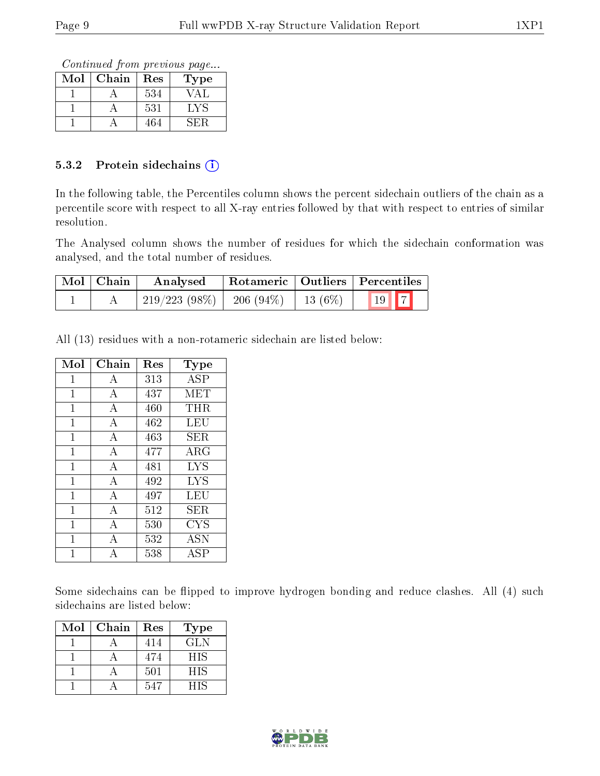Continued from previous page...

| Mol | Chain | $\operatorname{Res}% \left( \mathcal{N}\right) \equiv\operatorname{Res}(\mathcal{N}_{0})\cap\mathcal{N}_{1}$ | Type |
|-----|-------|--------------------------------------------------------------------------------------------------------------|------|
|     |       | 534                                                                                                          |      |
|     |       | 531                                                                                                          | LYS. |
|     |       | 464                                                                                                          |      |

#### 5.3.2 Protein sidechains (i)

In the following table, the Percentiles column shows the percent sidechain outliers of the chain as a percentile score with respect to all X-ray entries followed by that with respect to entries of similar resolution.

The Analysed column shows the number of residues for which the sidechain conformation was analysed, and the total number of residues.

| Mol   Chain | Analysed        | $\perp$ Rotameric   Outliers   Percentiles |  |                          |  |
|-------------|-----------------|--------------------------------------------|--|--------------------------|--|
|             | $219/223(98\%)$ | $-206(94\%)$   13 (6\%)                    |  | $\boxed{19}$ $\boxed{7}$ |  |

All (13) residues with a non-rotameric sidechain are listed below:

| Mol          | Chain          | Res | $_{\rm Type}$ |
|--------------|----------------|-----|---------------|
| 1            | A              | 313 | ASP           |
| 1            | А              | 437 | MET           |
| 1            | А              | 460 | THR           |
| 1            | А              | 462 | LEU           |
| $\mathbf{1}$ | А              | 463 | SER.          |
| 1            | $\overline{A}$ | 477 | ARG           |
| $\mathbf 1$  | $\overline{A}$ | 481 | <b>LYS</b>    |
| 1            | А              | 492 | LYS           |
| $\mathbf{1}$ | $\overline{A}$ | 497 | LEU           |
| 1            | $\overline{A}$ | 512 | SER           |
| 1            | А              | 530 | ${\rm CYS}$   |
| 1            | А              | 532 | <b>ASN</b>    |
|              | А              | 538 | ĀSP           |

Some sidechains can be flipped to improve hydrogen bonding and reduce clashes. All (4) such sidechains are listed below:

| Mol | Chain | Res | <b>Type</b> |
|-----|-------|-----|-------------|
|     |       | 414 | GLN         |
|     |       | 474 | <b>HIS</b>  |
|     |       | 501 | <b>HIS</b>  |
|     |       | 547 | HIS         |

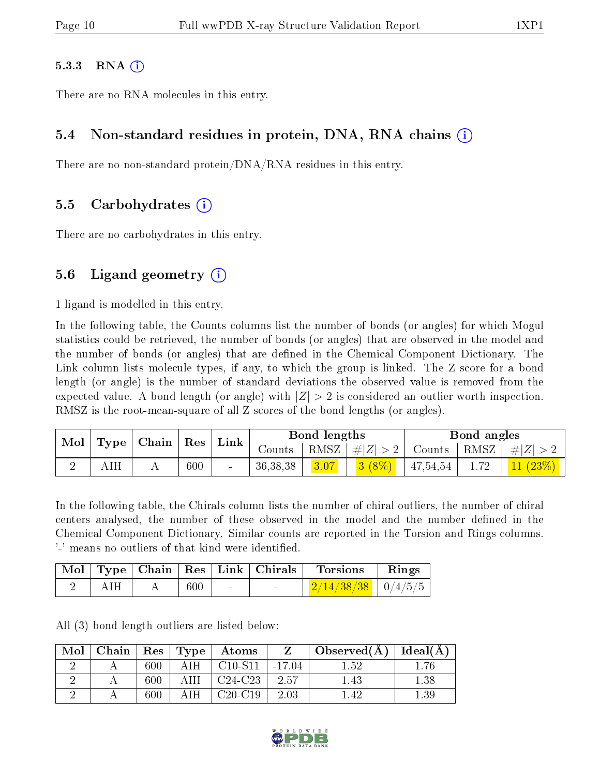#### 5.3.3 RNA  $(i)$

There are no RNA molecules in this entry.

#### 5.4 Non-standard residues in protein, DNA, RNA chains (i)

There are no non-standard protein/DNA/RNA residues in this entry.

#### 5.5 Carbohydrates (i)

There are no carbohydrates in this entry.

#### 5.6 Ligand geometry  $(i)$

1 ligand is modelled in this entry.

In the following table, the Counts columns list the number of bonds (or angles) for which Mogul statistics could be retrieved, the number of bonds (or angles) that are observed in the model and the number of bonds (or angles) that are defined in the Chemical Component Dictionary. The Link column lists molecule types, if any, to which the group is linked. The Z score for a bond length (or angle) is the number of standard deviations the observed value is removed from the expected value. A bond length (or angle) with  $|Z| > 2$  is considered an outlier worth inspection. RMSZ is the root-mean-square of all Z scores of the bond lengths (or angles).

|     | Mol   Type   Chain   Res   Link |     |        |          |      |                       | Bond lengths |  |                                                   | Bond angles |  |
|-----|---------------------------------|-----|--------|----------|------|-----------------------|--------------|--|---------------------------------------------------|-------------|--|
|     |                                 |     |        | Counts-  |      | $ RMSZ  \#  Z  > 2  $ |              |  | $\vert$ Counts $\vert$ RMSZ $\vert \#Z \vert > 2$ |             |  |
| AIH |                                 | 600 | $\sim$ | 36,38,38 | 3.07 | 3(8%)                 | 47,54,54     |  | $\left 11\ (23\%)\right $                         |             |  |

In the following table, the Chirals column lists the number of chiral outliers, the number of chiral centers analysed, the number of these observed in the model and the number defined in the Chemical Component Dictionary. Similar counts are reported in the Torsion and Rings columns. '-' means no outliers of that kind were identified.

|  |     | Mol   Type   Chain   Res   Link   Chirals | <b>Torsions</b>        | Rings |
|--|-----|-------------------------------------------|------------------------|-------|
|  | 600 |                                           | $2/14/38/38$   0/4/5/5 |       |

All (3) bond length outliers are listed below:

| Mol | Chain   Res   Type |     |       | $\boldsymbol{\mathrm{Atoms}}$ |        | Observed $(A)$ | Ideal $(A)$ |
|-----|--------------------|-----|-------|-------------------------------|--------|----------------|-------------|
|     |                    | 600 | AIH-  | $C10-S11$                     | -17.04 | $1.52\,$       |             |
|     |                    | 600 | AIH - | $C24-C23$                     | -2.57  | $\cdot$ 43     | 1.38        |
|     |                    | 600 |       | $C20-C19$                     | 2.03   | .42            | 1.39        |

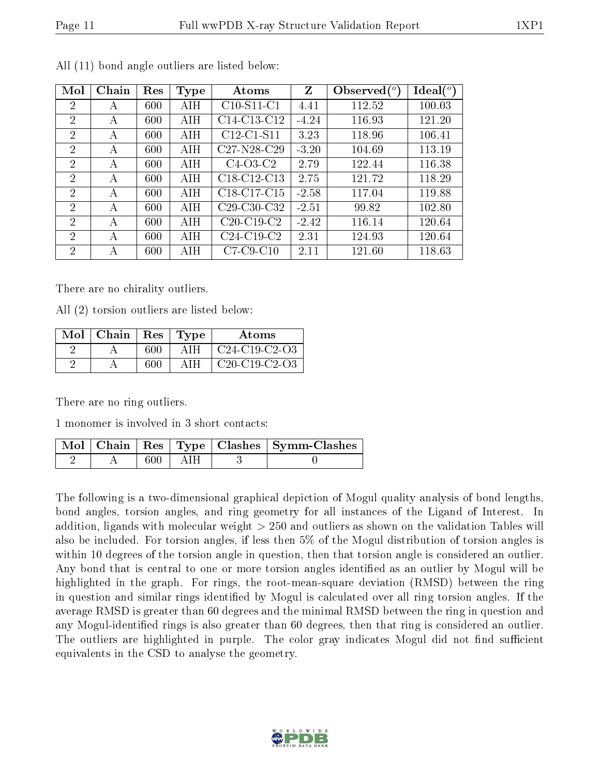|--|

| Mol            | Chain | Res | Type | Atoms                                             | Z       | Observed $(°)$ | $\text{Ideal}({}^o)$ |
|----------------|-------|-----|------|---------------------------------------------------|---------|----------------|----------------------|
| 2              | А     | 600 | AIH  | $C10-S11-C1$                                      | 4.41    | 112.52         | 100.03               |
| $\overline{2}$ | A     | 600 | AIH  | C14-C13-C12                                       | $-4.24$ | 116.93         | 121.20               |
| 2              | А     | 600 | AIH  | $C12-C1-S11$                                      | 3.23    | 118.96         | 106.41               |
| $\overline{2}$ | А     | 600 | AIH  | $C27-N28-C29$                                     | $-3.20$ | 104.69         | 113.19               |
| $\overline{2}$ | A     | 600 | AIH  | $C4-O3-C2$                                        | 2.79    | 122.44         | 116.38               |
| $\overline{2}$ | А     | 600 | AIH  | $C18-C12-C13$                                     | 2.75    | 121.72         | 118.29               |
| $\overline{2}$ | A     | 600 | AIH  | C <sub>18</sub> -C <sub>17</sub> -C <sub>15</sub> | $-2.58$ | 117.04         | 119.88               |
| $\mathcal{D}$  | A     | 600 | AIH  | $C29-C30-C32$                                     | $-2.51$ | 99.82          | 102.80               |
| $\mathcal{D}$  | А     | 600 | AIH  | $C20-C19-C2$                                      | $-2.42$ | 116.14         | 120.64               |
| $\mathcal{D}$  | A     | 600 | AIH  | $C24-C19-C2$                                      | 2.31    | 124.93         | 120.64               |
| $\overline{2}$ | А     | 600 | AIH  | $C7-C9-C10$                                       | 2.11    | 121.60         | 118.63               |

All (11) bond angle outliers are listed below:

There are no chirality outliers.

All (2) torsion outliers are listed below:

| Mol | Chain | $\operatorname{Res}% \left( \mathcal{N}\right) \equiv\operatorname{Res}(\mathcal{N}_{0})\cap\operatorname{Res}(\mathcal{N}_{0})$ | Type  | Atoms           |
|-----|-------|----------------------------------------------------------------------------------------------------------------------------------|-------|-----------------|
|     |       | 600                                                                                                                              | A I H | $C24-C19-C2-C3$ |
|     |       | 600                                                                                                                              | A I H | $C20-C19-C2-C3$ |

There are no ring outliers.

1 monomer is involved in 3 short contacts:

|  |       |       | Mol   Chain   Res   Type   Clashes   Symm-Clashes |
|--|-------|-------|---------------------------------------------------|
|  | 600 - | LAIH. |                                                   |

The following is a two-dimensional graphical depiction of Mogul quality analysis of bond lengths, bond angles, torsion angles, and ring geometry for all instances of the Ligand of Interest. In addition, ligands with molecular weight > 250 and outliers as shown on the validation Tables will also be included. For torsion angles, if less then 5% of the Mogul distribution of torsion angles is within 10 degrees of the torsion angle in question, then that torsion angle is considered an outlier. Any bond that is central to one or more torsion angles identified as an outlier by Mogul will be highlighted in the graph. For rings, the root-mean-square deviation (RMSD) between the ring in question and similar rings identified by Mogul is calculated over all ring torsion angles. If the average RMSD is greater than 60 degrees and the minimal RMSD between the ring in question and any Mogul-identified rings is also greater than 60 degrees, then that ring is considered an outlier. The outliers are highlighted in purple. The color gray indicates Mogul did not find sufficient equivalents in the CSD to analyse the geometry.

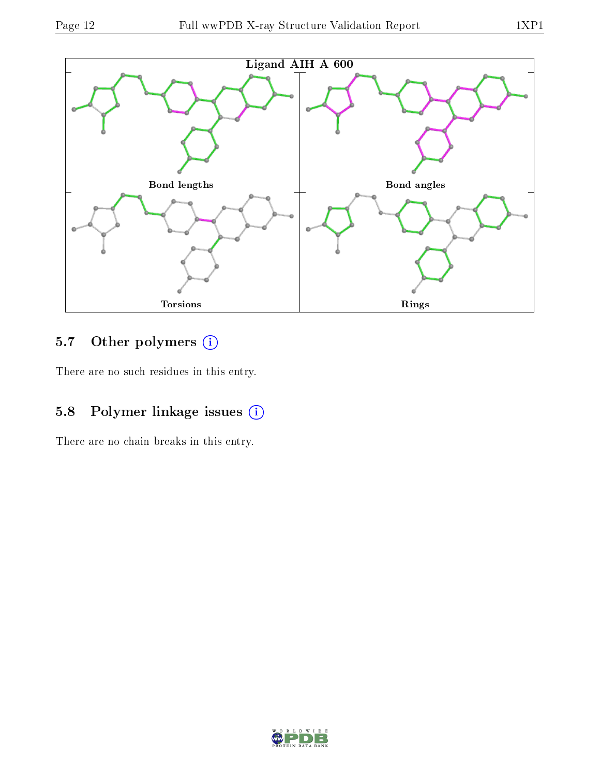

## 5.7 [O](https://www.wwpdb.org/validation/2017/XrayValidationReportHelp#nonstandard_residues_and_ligands)ther polymers (i)

There are no such residues in this entry.

## 5.8 Polymer linkage issues (i)

There are no chain breaks in this entry.

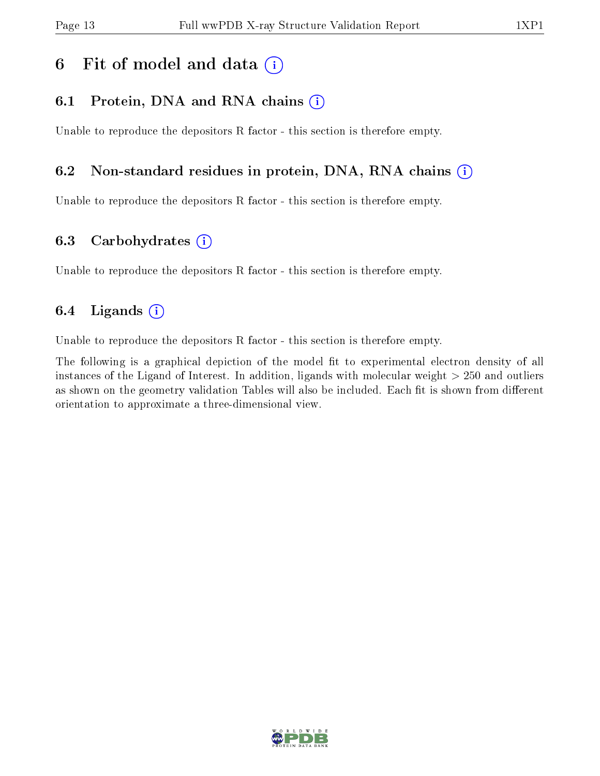## 6 Fit of model and data  $(i)$

### 6.1 Protein, DNA and RNA chains  $(i)$

Unable to reproduce the depositors R factor - this section is therefore empty.

### 6.2 Non-standard residues in protein, DNA, RNA chains (i)

Unable to reproduce the depositors R factor - this section is therefore empty.

### 6.3 Carbohydrates (i)

Unable to reproduce the depositors R factor - this section is therefore empty.

### 6.4 Ligands  $(i)$

Unable to reproduce the depositors R factor - this section is therefore empty.

The following is a graphical depiction of the model fit to experimental electron density of all instances of the Ligand of Interest. In addition, ligands with molecular weight > 250 and outliers as shown on the geometry validation Tables will also be included. Each fit is shown from different orientation to approximate a three-dimensional view.